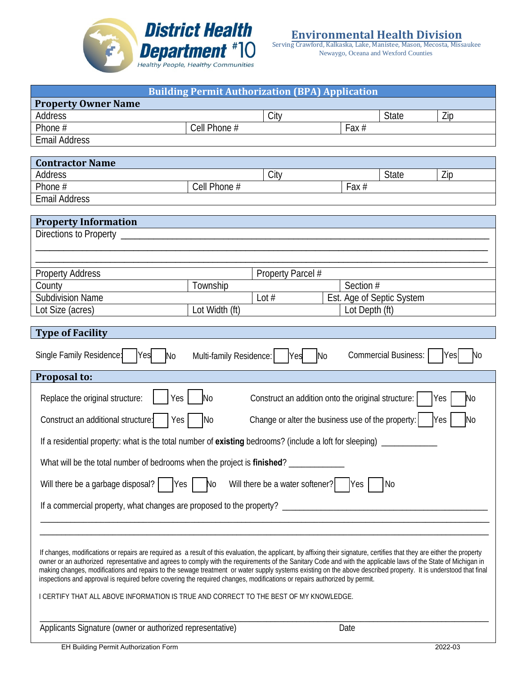

Serving Crawford, Kalkaska, Lake, Manistee, Mason, Mecosta, Missaukee Newaygo, Oceana and Wexford Counties

| <b>Building Permit Authorization (BPA) Application</b>                                                                                                                                                                                                                                                                                                                                                                                                                                                                                                                                                                                      |                         |                   |                |                             |         |
|---------------------------------------------------------------------------------------------------------------------------------------------------------------------------------------------------------------------------------------------------------------------------------------------------------------------------------------------------------------------------------------------------------------------------------------------------------------------------------------------------------------------------------------------------------------------------------------------------------------------------------------------|-------------------------|-------------------|----------------|-----------------------------|---------|
| <b>Property Owner Name</b>                                                                                                                                                                                                                                                                                                                                                                                                                                                                                                                                                                                                                  |                         |                   |                |                             |         |
| Address                                                                                                                                                                                                                                                                                                                                                                                                                                                                                                                                                                                                                                     |                         | City              |                | <b>State</b>                | Zip     |
| Phone #                                                                                                                                                                                                                                                                                                                                                                                                                                                                                                                                                                                                                                     | Cell Phone #            |                   | Fax #          |                             |         |
| <b>Email Address</b>                                                                                                                                                                                                                                                                                                                                                                                                                                                                                                                                                                                                                        |                         |                   |                |                             |         |
| <b>Contractor Name</b>                                                                                                                                                                                                                                                                                                                                                                                                                                                                                                                                                                                                                      |                         |                   |                |                             |         |
| Address                                                                                                                                                                                                                                                                                                                                                                                                                                                                                                                                                                                                                                     |                         | City              |                | <b>State</b>                | Zip     |
| Phone #                                                                                                                                                                                                                                                                                                                                                                                                                                                                                                                                                                                                                                     | Cell Phone #            |                   | Fax $#$        |                             |         |
| <b>Email Address</b>                                                                                                                                                                                                                                                                                                                                                                                                                                                                                                                                                                                                                        |                         |                   |                |                             |         |
|                                                                                                                                                                                                                                                                                                                                                                                                                                                                                                                                                                                                                                             |                         |                   |                |                             |         |
| <b>Property Information</b>                                                                                                                                                                                                                                                                                                                                                                                                                                                                                                                                                                                                                 |                         |                   |                |                             |         |
| Directions to Property                                                                                                                                                                                                                                                                                                                                                                                                                                                                                                                                                                                                                      |                         |                   |                |                             |         |
|                                                                                                                                                                                                                                                                                                                                                                                                                                                                                                                                                                                                                                             |                         |                   |                |                             |         |
|                                                                                                                                                                                                                                                                                                                                                                                                                                                                                                                                                                                                                                             |                         |                   |                |                             |         |
| <b>Property Address</b>                                                                                                                                                                                                                                                                                                                                                                                                                                                                                                                                                                                                                     |                         | Property Parcel # | Section #      |                             |         |
| County<br><b>Subdivision Name</b>                                                                                                                                                                                                                                                                                                                                                                                                                                                                                                                                                                                                           | Township                | Lot $#$           |                | Est. Age of Septic System   |         |
| Lot Size (acres)                                                                                                                                                                                                                                                                                                                                                                                                                                                                                                                                                                                                                            | Lot Width (ft)          |                   | Lot Depth (ft) |                             |         |
|                                                                                                                                                                                                                                                                                                                                                                                                                                                                                                                                                                                                                                             |                         |                   |                |                             |         |
| <b>Type of Facility</b>                                                                                                                                                                                                                                                                                                                                                                                                                                                                                                                                                                                                                     |                         |                   |                |                             |         |
| Single Family Residence:<br>Yes                                                                                                                                                                                                                                                                                                                                                                                                                                                                                                                                                                                                             |                         |                   |                | <b>Commercial Business:</b> | No      |
| N <sub>o</sub>                                                                                                                                                                                                                                                                                                                                                                                                                                                                                                                                                                                                                              | Multi-family Residence: | <b>Yes</b>        | <b>No</b>      |                             | Yes     |
| Proposal to:                                                                                                                                                                                                                                                                                                                                                                                                                                                                                                                                                                                                                                |                         |                   |                |                             |         |
| Replace the original structure:<br>Yes<br>Construct an addition onto the original structure:<br>N <sub>o</sub><br>Yes<br>No                                                                                                                                                                                                                                                                                                                                                                                                                                                                                                                 |                         |                   |                |                             |         |
| Change or alter the business use of the property:<br>Construct an additional structure:<br>N <sub>o</sub><br><b>Yes</b><br>No<br>Yes                                                                                                                                                                                                                                                                                                                                                                                                                                                                                                        |                         |                   |                |                             |         |
| If a residential property: what is the total number of existing bedrooms? (include a loft for sleeping)                                                                                                                                                                                                                                                                                                                                                                                                                                                                                                                                     |                         |                   |                |                             |         |
| What will be the total number of bedrooms when the project is finished?                                                                                                                                                                                                                                                                                                                                                                                                                                                                                                                                                                     |                         |                   |                |                             |         |
| Will there be a garbage disposal?<br>Will there be a water softener?<br>$Yes$  <br>No<br><b>Yes</b><br>No.                                                                                                                                                                                                                                                                                                                                                                                                                                                                                                                                  |                         |                   |                |                             |         |
|                                                                                                                                                                                                                                                                                                                                                                                                                                                                                                                                                                                                                                             |                         |                   |                |                             |         |
|                                                                                                                                                                                                                                                                                                                                                                                                                                                                                                                                                                                                                                             |                         |                   |                |                             |         |
|                                                                                                                                                                                                                                                                                                                                                                                                                                                                                                                                                                                                                                             |                         |                   |                |                             |         |
| If changes, modifications or repairs are required as a result of this evaluation, the applicant, by affixing their signature, certifies that they are either the property<br>owner or an authorized representative and agrees to comply with the requirements of the Sanitary Code and with the applicable laws of the State of Michigan in<br>making changes, modifications and repairs to the sewage treatment or water supply systems existing on the above described property. It is understood that final<br>inspections and approval is required before covering the required changes, modifications or repairs authorized by permit. |                         |                   |                |                             |         |
| I CERTIFY THAT ALL ABOVE INFORMATION IS TRUE AND CORRECT TO THE BEST OF MY KNOWLEDGE.                                                                                                                                                                                                                                                                                                                                                                                                                                                                                                                                                       |                         |                   |                |                             |         |
| Applicants Signature (owner or authorized representative)                                                                                                                                                                                                                                                                                                                                                                                                                                                                                                                                                                                   |                         |                   | Date           |                             |         |
| EH Building Permit Authorization Form                                                                                                                                                                                                                                                                                                                                                                                                                                                                                                                                                                                                       |                         |                   |                |                             | 2022-03 |